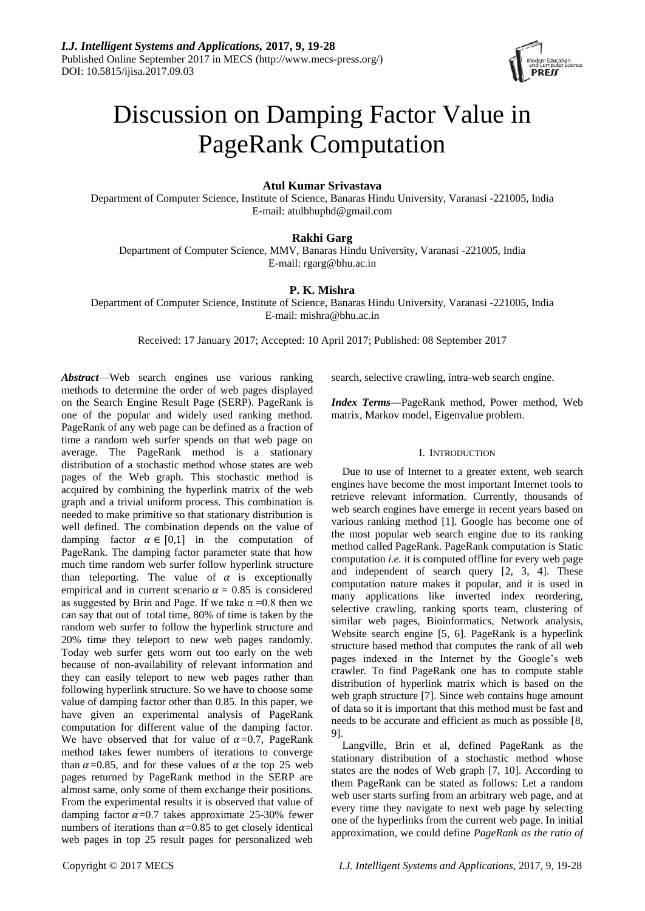

# Discussion on Damping Factor Value in PageRank Computation

## **Atul Kumar Srivastava**

Department of Computer Science, Institute of Science, Banaras Hindu University, Varanasi -221005, India E-mail: atulbhuphd@gmail.com

# **Rakhi Garg**

Department of Computer Science, MMV, Banaras Hindu University, Varanasi -221005, India E-mail: rgarg@bhu.ac.in

# **P. K. Mishra**

Department of Computer Science, Institute of Science, Banaras Hindu University, Varanasi -221005, India E-mail: mishra@bhu.ac.in

Received: 17 January 2017; Accepted: 10 April 2017; Published: 08 September 2017

*Abstract*—Web search engines use various ranking methods to determine the order of web pages displayed on the Search Engine Result Page (SERP). PageRank is one of the popular and widely used ranking method. PageRank of any web page can be defined as a fraction of time a random web surfer spends on that web page on average. The PageRank method is a stationary distribution of a stochastic method whose states are web pages of the Web graph. This stochastic method is acquired by combining the hyperlink matrix of the web graph and a trivial uniform process. This combination is needed to make primitive so that stationary distribution is well defined. The combination depends on the value of damping factor  $\alpha \in [0,1]$  in the computation of PageRank. The damping factor parameter state that how much time random web surfer follow hyperlink structure than teleporting. The value of  $\alpha$  is exceptionally empirical and in current scenario  $\alpha = 0.85$  is considered as suggested by Brin and Page. If we take  $\alpha = 0.8$  then we can say that out of total time, 80% of time is taken by the random web surfer to follow the hyperlink structure and 20% time they teleport to new web pages randomly. Today web surfer gets worn out too early on the web because of non-availability of relevant information and they can easily teleport to new web pages rather than following hyperlink structure. So we have to choose some value of damping factor other than 0.85. In this paper, we have given an experimental analysis of PageRank computation for different value of the damping factor. We have observed that for value of  $\alpha$ =0.7, PageRank method takes fewer numbers of iterations to converge than  $\alpha$ =0.85, and for these values of  $\alpha$  the top 25 web pages returned by PageRank method in the SERP are almost same, only some of them exchange their positions. From the experimental results it is observed that value of damping factor  $\alpha$ =0.7 takes approximate 25-30% fewer numbers of iterations than  $\alpha$ =0.85 to get closely identical web pages in top 25 result pages for personalized web

search, selective crawling, intra-web search engine.

*Index Terms***—**PageRank method, Power method, Web matrix, Markov model, Eigenvalue problem.

## I. INTRODUCTION

Due to use of Internet to a greater extent, web search engines have become the most important Internet tools to retrieve relevant information. Currently, thousands of web search engines have emerge in recent years based on various ranking method [1]. Google has become one of the most popular web search engine due to its ranking method called PageRank. PageRank computation is Static computation *i.e.* it is computed offline for every web page and independent of search query [2, 3, 4]. These computation nature makes it popular, and it is used in many applications like inverted index reordering, selective crawling, ranking sports team, clustering of similar web pages, Bioinformatics, Network analysis, Website search engine [5, 6]. PageRank is a hyperlink structure based method that computes the rank of all web pages indexed in the Internet by the Google's web crawler. To find PageRank one has to compute stable distribution of hyperlink matrix which is based on the web graph structure [7]. Since web contains huge amount of data so it is important that this method must be fast and needs to be accurate and efficient as much as possible [8, 9].

Langville, Brin et al, defined PageRank as the stationary distribution of a stochastic method whose states are the nodes of Web graph [7, 10]. According to them PageRank can be stated as follows: Let a random web user starts surfing from an arbitrary web page, and at every time they navigate to next web page by selecting one of the hyperlinks from the current web page. In initial approximation, we could define *PageRank as the ratio of*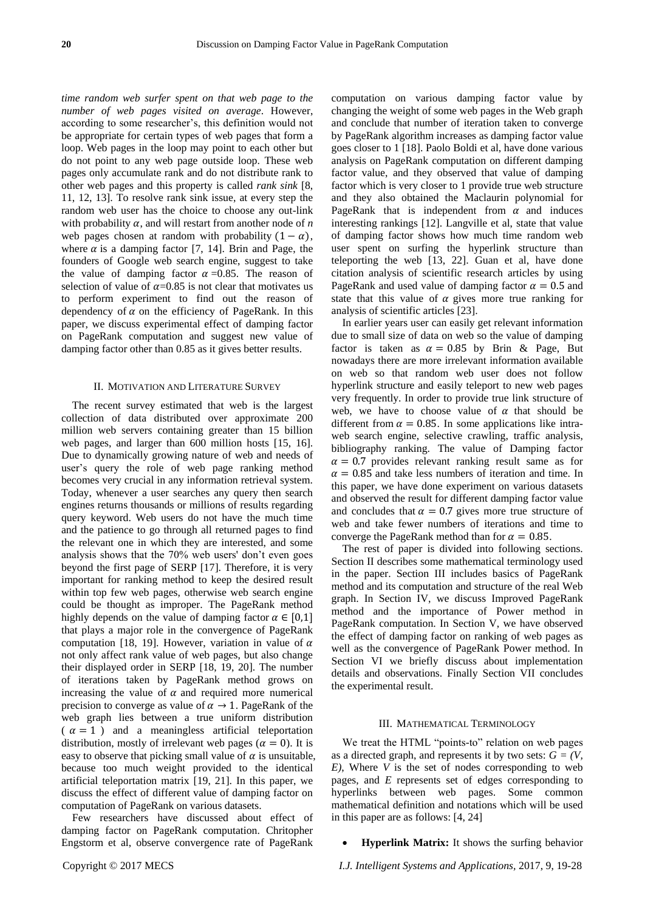*time random web surfer spent on that web page to the number of web pages visited on average*. However, according to some researcher's, this definition would not be appropriate for certain types of web pages that form a loop. Web pages in the loop may point to each other but do not point to any web page outside loop. These web pages only accumulate rank and do not distribute rank to other web pages and this property is called *rank sink* [8, 11, 12, 13]. To resolve rank sink issue, at every step the random web user has the choice to choose any out-link with probability  $\alpha$ , and will restart from another node of *n* web pages chosen at random with probability  $(1 - \alpha)$ , where  $\alpha$  is a damping factor [7, 14]. Brin and Page, the founders of Google web search engine, suggest to take the value of damping factor  $\alpha = 0.85$ . The reason of selection of value of  $\alpha$ =0.85 is not clear that motivates us to perform experiment to find out the reason of dependency of  $\alpha$  on the efficiency of PageRank. In this paper, we discuss experimental effect of damping factor on PageRank computation and suggest new value of damping factor other than 0.85 as it gives better results.

## II. MOTIVATION AND LITERATURE SURVEY

The recent survey estimated that web is the largest collection of data distributed over approximate 200 million web servers containing greater than 15 billion web pages, and larger than 600 million hosts [15, 16]. Due to dynamically growing nature of web and needs of user's query the role of web page ranking method becomes very crucial in any information retrieval system. Today, whenever a user searches any query then search engines returns thousands or millions of results regarding query keyword. Web users do not have the much time and the patience to go through all returned pages to find the relevant one in which they are interested, and some analysis shows that the 70% web users' don't even goes beyond the first page of SERP [17]. Therefore, it is very important for ranking method to keep the desired result within top few web pages, otherwise web search engine could be thought as improper. The PageRank method highly depends on the value of damping factor  $\alpha \in [0,1]$ that plays a major role in the convergence of PageRank computation [18, 19]. However, variation in value of  $\alpha$ not only affect rank value of web pages, but also change their displayed order in SERP [18, 19, 20]. The number of iterations taken by PageRank method grows on increasing the value of  $\alpha$  and required more numerical precision to converge as value of  $\alpha \rightarrow 1$ . PageRank of the web graph lies between a true uniform distribution  $(\alpha = 1)$  and a meaningless artificial teleportation distribution, mostly of irrelevant web pages ( $\alpha = 0$ ). It is easy to observe that picking small value of  $\alpha$  is unsuitable, because too much weight provided to the identical artificial teleportation matrix [19, 21]. In this paper, we discuss the effect of different value of damping factor on computation of PageRank on various datasets.

Few researchers have discussed about effect of damping factor on PageRank computation. Chritopher Engstorm et al, observe convergence rate of PageRank

computation on various damping factor value by changing the weight of some web pages in the Web graph and conclude that number of iteration taken to converge by PageRank algorithm increases as damping factor value goes closer to 1 [18]. Paolo Boldi et al, have done various analysis on PageRank computation on different damping factor value, and they observed that value of damping factor which is very closer to 1 provide true web structure and they also obtained the Maclaurin polynomial for PageRank that is independent from  $\alpha$  and induces interesting rankings [12]. Langville et al, state that value of damping factor shows how much time random web user spent on surfing the hyperlink structure than teleporting the web [13, 22]. Guan et al, have done citation analysis of scientific research articles by using PageRank and used value of damping factor  $\alpha = 0.5$  and state that this value of  $\alpha$  gives more true ranking for analysis of scientific articles [23].

In earlier years user can easily get relevant information due to small size of data on web so the value of damping factor is taken as  $\alpha = 0.85$  by Brin & Page, But nowadays there are more irrelevant information available on web so that random web user does not follow hyperlink structure and easily teleport to new web pages very frequently. In order to provide true link structure of web, we have to choose value of  $\alpha$  that should be different from  $\alpha = 0.85$ . In some applications like intraweb search engine, selective crawling, traffic analysis, bibliography ranking. The value of Damping factor  $\alpha = 0.7$  provides relevant ranking result same as for  $\alpha = 0.85$  and take less numbers of iteration and time. In this paper, we have done experiment on various datasets and observed the result for different damping factor value and concludes that  $\alpha = 0.7$  gives more true structure of web and take fewer numbers of iterations and time to converge the PageRank method than for  $\alpha = 0.85$ .

The rest of paper is divided into following sections. Section II describes some mathematical terminology used in the paper. Section III includes basics of PageRank method and its computation and structure of the real Web graph. In Section IV, we discuss Improved PageRank method and the importance of Power method in PageRank computation. In Section V, we have observed the effect of damping factor on ranking of web pages as well as the convergence of PageRank Power method. In Section VI we briefly discuss about implementation details and observations. Finally Section VII concludes the experimental result.

#### III. MATHEMATICAL TERMINOLOGY

We treat the HTML "points-to" relation on web pages as a directed graph, and represents it by two sets:  $G = (V, \mathcal{E})$ *E)*, Where *V* is the set of nodes corresponding to web pages, and *E* represents set of edges corresponding to hyperlinks between web pages. Some common mathematical definition and notations which will be used in this paper are as follows: [4, 24]

**Hyperlink Matrix:** It shows the surfing behavior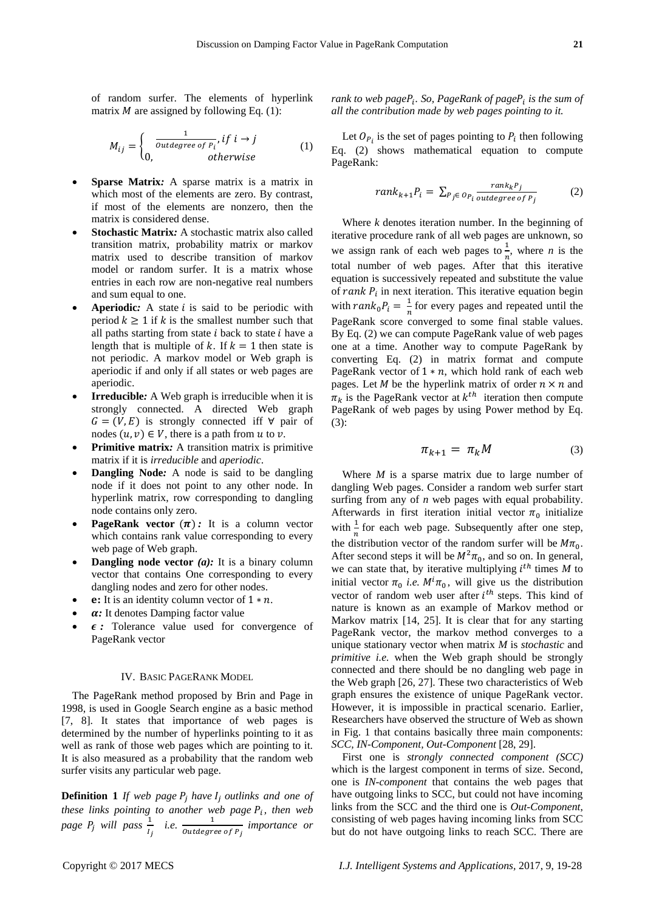of random surfer. The elements of hyperlink matrix  $M$  are assigned by following Eq. (1):

$$
M_{ij} = \begin{cases} \frac{1}{outdegree \ of \ P_i}, & if \ i \to j \\ 0, & otherwise \end{cases} \tag{1}
$$

- **Sparse Matrix***:* A sparse matrix is a matrix in which most of the elements are zero. By contrast, if most of the elements are nonzero, then the matrix is considered dense.
- **Stochastic Matrix***:* A stochastic matrix also called transition matrix, probability matrix or markov matrix used to describe transition of markov model or random surfer. It is a matrix whose entries in each row are non-negative real numbers and sum equal to one.
- **Aperiodic:** A state *i* is said to be periodic with period  $k \ge 1$  if k is the smallest number such that all paths starting from state  $i$  back to state  $i$  have a length that is multiple of k. If  $k = 1$  then state is not periodic. A markov model or Web graph is aperiodic if and only if all states or web pages are aperiodic.
- **Irreducible***:* A Web graph is irreducible when it is strongly connected. A directed Web graph  $G = (V, E)$  is strongly connected iff  $\forall$  pair of nodes  $(u, v) \in V$ , there is a path from u to v.
- **Primitive matrix***:* A transition matrix is primitive matrix if it is *irreducible* and *aperiodic*.
- **Dangling Node***:* A node is said to be dangling node if it does not point to any other node. In hyperlink matrix, row corresponding to dangling node contains only zero.
- **PageRank vector**  $(\pi)$ : It is a column vector which contains rank value corresponding to every web page of Web graph.
- **Dangling node vector** (a): It is a binary column vector that contains One corresponding to every dangling nodes and zero for other nodes.
- **e:** It is an identity column vector of  $1 * n$ .
- *a*: It denotes Damping factor value
- *:* Tolerance value used for convergence of PageRank vector

## IV. BASIC PAGERANK MODEL

The PageRank method proposed by Brin and Page in 1998, is used in Google Search engine as a basic method [7, 8]. It states that importance of web pages is determined by the number of hyperlinks pointing to it as well as rank of those web pages which are pointing to it. It is also measured as a probability that the random web surfer visits any particular web page.

**Definition 1** *If web page*  $P_i$  *have*  $I_i$  *outlinks and one of these links pointing to another web page*  $P_i$ *, then web* page  $P_j$  will pass  $\frac{1}{I_j}$  *i.e.*  $\frac{1}{Outdegree of P_j}$  importance or

rank to web pageP<sub>i</sub>. So, PageRank of pageP<sub>i</sub> is the sum of *all the contribution made by web pages pointing to it.*

Let  $O_{P_i}$  is the set of pages pointing to  $P_i$  then following Eq. (2) shows mathematical equation to compute PageRank:

$$
rank_{k+1}P_i = \sum_{P_j \in \text{Op}_i} \frac{rank_k P_j}{outdegree \text{ of } P_j}
$$
 (2)

Where *k* denotes iteration number. In the beginning of iterative procedure rank of all web pages are unknown, so we assign rank of each web pages to  $\frac{1}{n}$ , where *n* is the total number of web pages. After that this iterative equation is successively repeated and substitute the value of rank  $P_i$  in next iteration. This iterative equation begin with  $rank_0P_i = \frac{1}{n}$  $\frac{1}{n}$  for every pages and repeated until the PageRank score converged to some final stable values. By Eq. (2) we can compute PageRank value of web pages one at a time. Another way to compute PageRank by converting Eq. (2) in matrix format and compute PageRank vector of  $1 * n$ , which hold rank of each web pages. Let *M* be the hyperlink matrix of order  $n \times n$  and  $\pi_k$  is the PageRank vector at  $k^{th}$  iteration then compute PageRank of web pages by using Power method by Eq. (3):

$$
\pi_{k+1} = \pi_k M \tag{3}
$$

Where *M* is a sparse matrix due to large number of dangling Web pages. Consider a random web surfer start surfing from any of *n* web pages with equal probability. Afterwards in first iteration initial vector  $\pi_0$  initialize with  $\frac{1}{n}$  for each web page. Subsequently after one step, the distribution vector of the random surfer will be  $M\pi_0$ . After second steps it will be  $M^2 \pi_0$ , and so on. In general, we can state that, by iterative multiplying  $i^{th}$  times  $M$  to initial vector  $\pi_0$  *i.e.*  $M^i \pi_0$ , will give us the distribution vector of random web user after  $i<sup>th</sup>$  steps. This kind of nature is known as an example of Markov method or Markov matrix [14, 25]. It is clear that for any starting PageRank vector, the markov method converges to a unique stationary vector when matrix *M* is *stochastic* and *primitive i.e.* when the Web graph should be strongly connected and there should be no dangling web page in the Web graph [26, 27]. These two characteristics of Web graph ensures the existence of unique PageRank vector. However, it is impossible in practical scenario. Earlier, Researchers have observed the structure of Web as shown in Fig. 1 that contains basically three main components: *SCC, IN-Component, Out-Component* [28, 29].

First one is *strongly connected component (SCC)* which is the largest component in terms of size. Second, one is *IN-component* that contains the web pages that have outgoing links to SCC, but could not have incoming links from the SCC and the third one is *Out-Component*, consisting of web pages having incoming links from SCC but do not have outgoing links to reach SCC. There are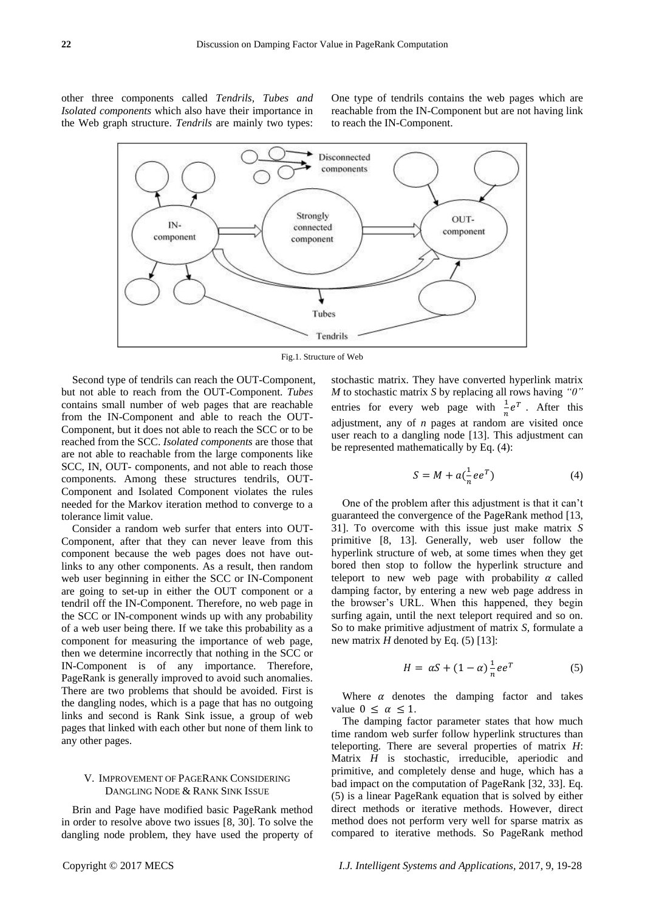other three components called *Tendrils, Tubes and Isolated components* which also have their importance in the Web graph structure. *Tendrils* are mainly two types:

One type of tendrils contains the web pages which are reachable from the IN-Component but are not having link to reach the IN-Component.



Fig.1. Structure of Web

Second type of tendrils can reach the OUT-Component, but not able to reach from the OUT-Component. *Tubes* contains small number of web pages that are reachable from the IN-Component and able to reach the OUT-Component, but it does not able to reach the SCC or to be reached from the SCC. *Isolated components* are those that are not able to reachable from the large components like SCC, IN, OUT- components, and not able to reach those components. Among these structures tendrils, OUT-Component and Isolated Component violates the rules needed for the Markov iteration method to converge to a tolerance limit value.

Consider a random web surfer that enters into OUT-Component, after that they can never leave from this component because the web pages does not have outlinks to any other components. As a result, then random web user beginning in either the SCC or IN-Component are going to set-up in either the OUT component or a tendril off the IN-Component. Therefore, no web page in the SCC or IN-component winds up with any probability of a web user being there. If we take this probability as a component for measuring the importance of web page, then we determine incorrectly that nothing in the SCC or IN-Component is of any importance. Therefore, PageRank is generally improved to avoid such anomalies. There are two problems that should be avoided. First is the dangling nodes, which is a page that has no outgoing links and second is Rank Sink issue, a group of web pages that linked with each other but none of them link to any other pages.

## V. IMPROVEMENT OF PAGERANK CONSIDERING DANGLING NODE & RANK SINK ISSUE

Brin and Page have modified basic PageRank method in order to resolve above two issues [8, 30]. To solve the dangling node problem, they have used the property of stochastic matrix. They have converted hyperlink matrix *M* to stochastic matrix *S* by replacing all rows having *"0"*  entries for every web page with  $\frac{1}{n}e^T$ . After this adjustment, any of *n* pages at random are visited once user reach to a dangling node [13]. This adjustment can be represented mathematically by Eq. (4):

$$
S = M + a\left(\frac{1}{n}ee^T\right) \tag{4}
$$

One of the problem after this adjustment is that it can't guaranteed the convergence of the PageRank method [13, 31]. To overcome with this issue just make matrix *S* primitive [8, 13]. Generally, web user follow the hyperlink structure of web, at some times when they get bored then stop to follow the hyperlink structure and teleport to new web page with probability  $\alpha$  called damping factor, by entering a new web page address in the browser's URL. When this happened, they begin surfing again, until the next teleport required and so on. So to make primitive adjustment of matrix *S,* formulate a new matrix *H* denoted by Eq. (5) [13]:

$$
H = \alpha S + (1 - \alpha) \frac{1}{n} e e^T \tag{5}
$$

Where  $\alpha$  denotes the damping factor and takes value  $0 \leq \alpha \leq 1$ .

The damping factor parameter states that how much time random web surfer follow hyperlink structures than teleporting. There are several properties of matrix *H*: Matrix *H* is stochastic, irreducible, aperiodic and primitive, and completely dense and huge, which has a bad impact on the computation of PageRank [32, 33]. Eq. (5) is a linear PageRank equation that is solved by either direct methods or iterative methods. However, direct method does not perform very well for sparse matrix as compared to iterative methods. So PageRank method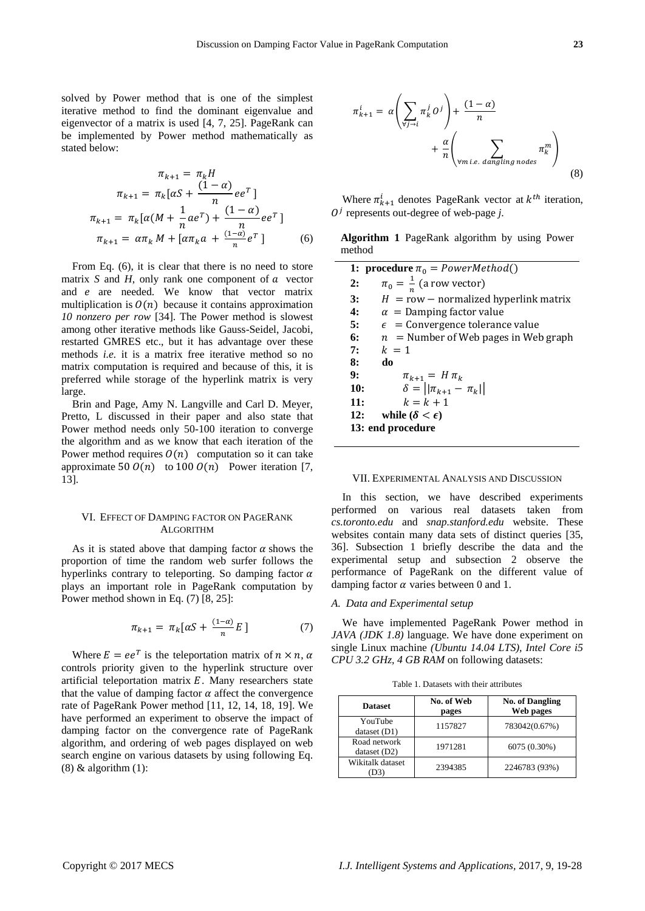solved by Power method that is one of the simplest iterative method to find the dominant eigenvalue and eigenvector of a matrix is used [4, 7, 25]. PageRank can be implemented by Power method mathematically as stated below:

$$
\pi_{k+1} = \pi_k H
$$
  
\n
$$
\pi_{k+1} = \pi_k [\alpha S + \frac{(1-\alpha)}{n} e e^T]
$$
  
\n
$$
\pi_{k+1} = \pi_k [\alpha (M + \frac{1}{n} a e^T) + \frac{(1-\alpha)}{n} e e^T]
$$
  
\n
$$
\pi_{k+1} = \alpha \pi_k M + [\alpha \pi_k a + \frac{(1-\alpha)}{n} e^T]
$$
 (6)

From Eq. (6), it is clear that there is no need to store matrix *S* and *H*, only rank one component of  $\alpha$  vector and  $e$  are needed. We know that vector matrix multiplication is  $\mathcal{O}(n)$  because it contains approximation *10 nonzero per row* [34]. The Power method is slowest among other iterative methods like Gauss-Seidel, Jacobi, restarted GMRES etc., but it has advantage over these methods *i.e.* it is a matrix free iterative method so no matrix computation is required and because of this, it is preferred while storage of the hyperlink matrix is very large.

Brin and Page, Amy N. Langville and Carl D. Meyer, Pretto, L discussed in their paper and also state that Power method needs only 50-100 iteration to converge the algorithm and as we know that each iteration of the Power method requires  $O(n)$  computation so it can take approximate 50  $O(n)$  to 100  $O(n)$  Power iteration [7, 13].

## VI. EFFECT OF DAMPING FACTOR ON PAGERANK ALGORITHM

As it is stated above that damping factor  $\alpha$  shows the proportion of time the random web surfer follows the hyperlinks contrary to teleporting. So damping factor  $\alpha$ plays an important role in PageRank computation by Power method shown in Eq. (7) [8, 25]:

$$
\pi_{k+1} = \pi_k[\alpha S + \frac{(1-\alpha)}{n}E] \tag{7}
$$

Where  $E = ee^T$  is the teleportation matrix of  $n \times n$ , controls priority given to the hyperlink structure over artificial teleportation matrix  $E$ . Many researchers state that the value of damping factor  $\alpha$  affect the convergence rate of PageRank Power method [11, 12, 14, 18, 19]. We have performed an experiment to observe the impact of damping factor on the convergence rate of PageRank algorithm, and ordering of web pages displayed on web search engine on various datasets by using following Eq.  $(8)$  & algorithm  $(1)$ :



Where  $\pi_{k+1}^i$  denotes PageRank vector at  $k^{th}$  iteration,  $O<sup>j</sup>$  represents out-degree of web-page *j*.

**Algorithm 1** PageRank algorithm by using Power method

| 1: procedure $\pi_0$ = PowerMethod() |                                          |  |  |  |  |  |
|--------------------------------------|------------------------------------------|--|--|--|--|--|
| 2:                                   | $\pi_0 = \frac{1}{n}$ (a row vector)     |  |  |  |  |  |
| 3:                                   | $H = row$ – normalized hyperlink matrix  |  |  |  |  |  |
| 4:                                   | $\alpha =$ Damping factor value          |  |  |  |  |  |
| 5:                                   | $\epsilon$ = Convergence tolerance value |  |  |  |  |  |
| 6:                                   | $n =$ Number of Web pages in Web graph   |  |  |  |  |  |
| 7:                                   | $k = 1$                                  |  |  |  |  |  |
| 8:                                   | do                                       |  |  |  |  |  |
| 9:                                   | $\pi_{k+1} = H \pi_k$                    |  |  |  |  |  |
| 10:                                  | $\delta =   \pi_{k+1} - \pi_k  $         |  |  |  |  |  |
| 11:                                  | $k = k + 1$                              |  |  |  |  |  |
| 12:                                  | while $(\delta < \epsilon)$              |  |  |  |  |  |
| 13: end procedure                    |                                          |  |  |  |  |  |
|                                      |                                          |  |  |  |  |  |



In this section, we have described experiments performed on various real datasets taken from *cs.toronto.edu* and *snap.stanford.edu* website. These websites contain many data sets of distinct queries [35, 36]. Subsection 1 briefly describe the data and the experimental setup and subsection 2 observe the performance of PageRank on the different value of damping factor  $\alpha$  varies between 0 and 1.

#### *A. Data and Experimental setup*

We have implemented PageRank Power method in *JAVA (JDK 1.8)* language. We have done experiment on single Linux machine *(Ubuntu 14.04 LTS), Intel Core i5 CPU 3.2 GHz, 4 GB RAM* on following datasets:

| <b>Dataset</b>              | No. of Web<br>pages | <b>No. of Dangling</b><br>Web pages |  |  |  |
|-----------------------------|---------------------|-------------------------------------|--|--|--|
| YouTube<br>dataset(D1)      | 1157827             | 783042(0.67%)                       |  |  |  |
| Road network<br>dataset(D2) | 1971281             | 6075 (0.30%)                        |  |  |  |
| Wikitalk dataset            | 2394385             | 2246783 (93%)                       |  |  |  |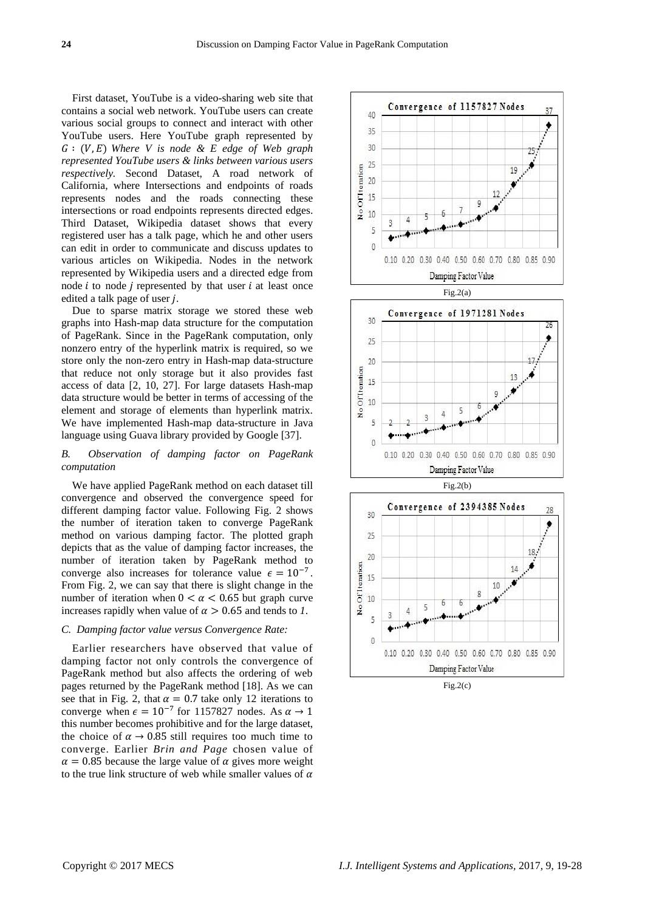First dataset, YouTube is a video-sharing web site that contains a social web network. YouTube users can create various social groups to connect and interact with other YouTube users. Here YouTube graph represented by *Where V is node & E edge of Web graph represented YouTube users & links between various users respectively.* Second Dataset, A road network of California, where Intersections and endpoints of roads represents nodes and the roads connecting these intersections or road endpoints represents directed edges. Third Dataset, Wikipedia dataset shows that every registered user has a talk page, which he and other users can edit in order to communicate and discuss updates to various articles on Wikipedia. Nodes in the network represented by Wikipedia users and a directed edge from node  $i$  to node  $j$  represented by that user  $i$  at least once edited a talk page of user  $j$ .

Due to sparse matrix storage we stored these web graphs into Hash-map data structure for the computation of PageRank. Since in the PageRank computation, only nonzero entry of the hyperlink matrix is required, so we store only the non-zero entry in Hash-map data-structure that reduce not only storage but it also provides fast access of data [2, 10, 27]. For large datasets Hash-map data structure would be better in terms of accessing of the element and storage of elements than hyperlink matrix. We have implemented Hash-map data-structure in Java language using Guava library provided by Google [37].

## *B. Observation of damping factor on PageRank computation*

We have applied PageRank method on each dataset till convergence and observed the convergence speed for different damping factor value. Following Fig. 2 shows the number of iteration taken to converge PageRank method on various damping factor. The plotted graph depicts that as the value of damping factor increases, the number of iteration taken by PageRank method to converge also increases for tolerance value  $\epsilon = 10^{-7}$ . From Fig. 2, we can say that there is slight change in the number of iteration when  $0 < \alpha < 0.65$  but graph curve increases rapidly when value of  $\alpha > 0.65$  and tends to *1*.

#### *C. Damping factor value versus Convergence Rate:*

Earlier researchers have observed that value of damping factor not only controls the convergence of PageRank method but also affects the ordering of web pages returned by the PageRank method [18]. As we can see that in Fig. 2, that  $\alpha = 0.7$  take only 12 iterations to converge when  $\epsilon = 10^{-7}$  for 1157827 nodes. As this number becomes prohibitive and for the large dataset, the choice of  $\alpha \rightarrow 0.85$  still requires too much time to converge. Earlier *Brin and Page* chosen value of  $\alpha = 0.85$  because the large value of  $\alpha$  gives more weight to the true link structure of web while smaller values of  $\alpha$ 



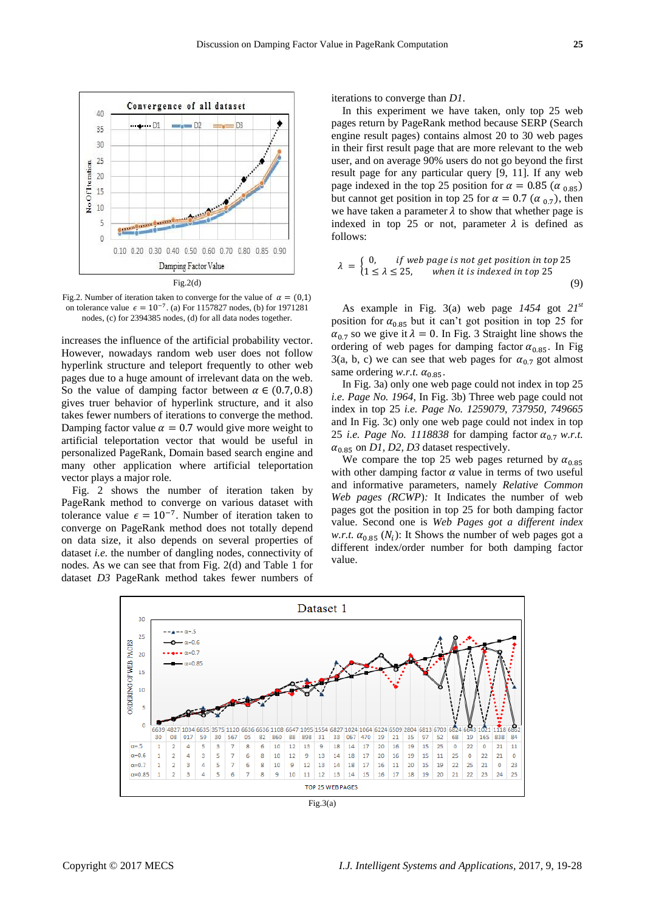

Fig.2. Number of iteration taken to converge for the value of  $\alpha = (0,1)$ on tolerance value  $\epsilon = 10^{-7}$ . (a) For 1157827 nodes, (b) for 1971281 nodes, (c) for 2394385 nodes, (d) for all data nodes together.

increases the influence of the artificial probability vector. However, nowadays random web user does not follow hyperlink structure and teleport frequently to other web pages due to a huge amount of irrelevant data on the web. So the value of damping factor between  $\alpha \in (0.7, 0.8)$ gives truer behavior of hyperlink structure, and it also takes fewer numbers of iterations to converge the method. Damping factor value  $\alpha = 0.7$  would give more weight to artificial teleportation vector that would be useful in personalized PageRank, Domain based search engine and many other application where artificial teleportation vector plays a major role.

Fig. 2 shows the number of iteration taken by PageRank method to converge on various dataset with tolerance value  $\epsilon = 10^{-7}$ . Number of iteration taken to converge on PageRank method does not totally depend on data size, it also depends on several properties of dataset *i.e.* the number of dangling nodes, connectivity of nodes. As we can see that from Fig. 2(d) and Table 1 for dataset *D3* PageRank method takes fewer numbers of

iterations to converge than *D1*.

In this experiment we have taken, only top 25 web pages return by PageRank method because SERP (Search engine result pages) contains almost 20 to 30 web pages in their first result page that are more relevant to the web user, and on average 90% users do not go beyond the first result page for any particular query [9, 11]. If any web page indexed in the top 25 position for  $\alpha = 0.85$  ( $\alpha_{0.85}$ ) but cannot get position in top 25 for  $\alpha = 0.7$  ( $\alpha_{0.7}$ ), then we have taken a parameter  $\lambda$  to show that whether page is indexed in top 25 or not, parameter  $\lambda$  is defined as follows:

$$
\lambda = \begin{cases} 0, & \text{if web page is not get position in top 25} \\ 1 \le \lambda \le 25, & \text{when it is indexed in top 25} \end{cases} \tag{9}
$$

As example in Fig. 3(a) web page *1454* got *21st* position for  $\alpha_{0.85}$  but it can't got position in top 25 for  $\alpha_{0.7}$  so we give it  $\lambda = 0$ . In Fig. 3 Straight line shows the ordering of web pages for damping factor  $\alpha_{0.85}$ . In Fig 3(a, b, c) we can see that web pages for  $\alpha_{0.7}$  got almost same ordering *w.r.t.*  $\alpha_{0.85}$ .

In Fig. 3a) only one web page could not index in top 25 *i.e. Page No. 1964*, In Fig. 3b) Three web page could not index in top 25 *i.e. Page No. 1259079, 737950, 749665* and In Fig. 3c) only one web page could not index in top 25 *i.e.* Page No. 1118838 for damping factor  $\alpha_{0.7}$  w.r.t.  $\alpha_{0.85}$  on *D1*, *D2*, *D3* dataset respectively.

We compare the top 25 web pages returned by  $\alpha_{0.85}$ with other damping factor  $\alpha$  value in terms of two useful and informative parameters, namely *Relative Common Web pages (RCWP*)*:* It Indicates the number of web pages got the position in top 25 for both damping factor value. Second one is *Web Pages got a different index w.r.t.*  $\alpha_{0.85}$  ( $N_i$ ): It Shows the number of web pages got a different index/order number for both damping factor value.



Fig.3(a)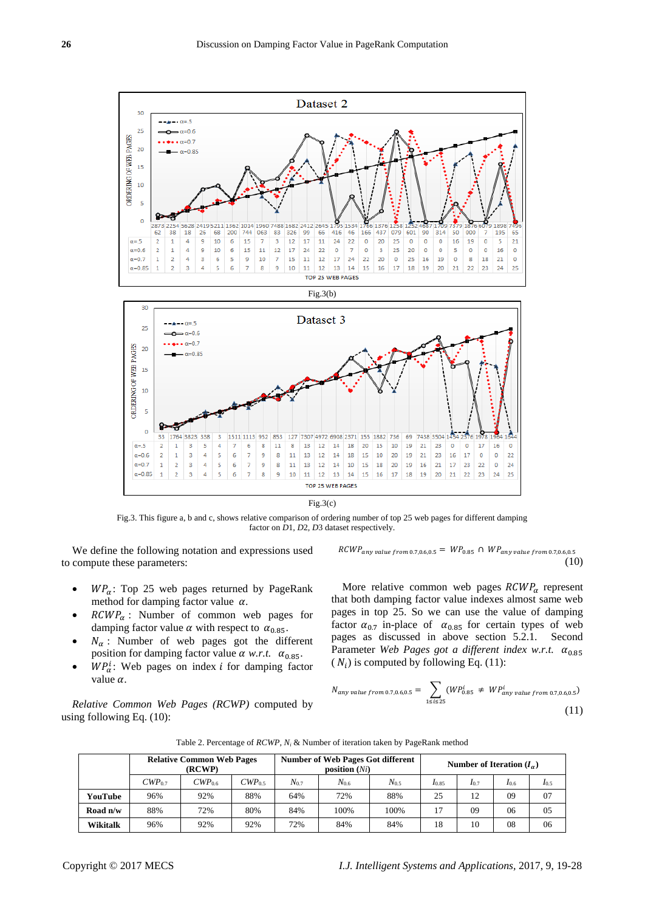

Fig.3. This figure a, b and c, shows relative comparison of ordering number of top 25 web pages for different damping factor on *D*1*, D*2*, D*3 dataset respectively.

We define the following notation and expressions used to compute these parameters:

- $WP_{\alpha}$ : Top 25 web pages returned by PageRank method for damping factor value  $\alpha$ .
- $RCWP_{\alpha}$ : Number of common web pages for damping factor value  $\alpha$  with respect to  $\alpha_{0.85}$ .
- $N_{\alpha}$ : Number of web pages got the different position for damping factor value  $\alpha$  w.r.t.  $\alpha_{0.85}$ .
- $\bullet$  WPa: Web pages on index *i* for damping factor value  $\alpha$ .

*Relative Common Web Pages (RCWP)* computed by using following Eq. (10):

 $RCWP_{any \ value \ from \ 0.7,0.6,0.5} = WP_{0.85} \cap WP_{any \ value \ from \ 0.7,0.6,0.5}$ (10)

More relative common web pages  $RCWP_{\alpha}$  represent that both damping factor value indexes almost same web pages in top 25. So we can use the value of damping factor  $\alpha_{0.7}$  in-place of  $\alpha_{0.85}$  for certain types of web pages as discussed in above section 5.2.1. Second Parameter *Web Pages got a different index w.r.t.*  $(N_i)$  is computed by following Eq. (11):

$$
N_{any \text{ value from } 0.7, 0.6, 0.5} = \sum_{1 \le i \le 25} (WP_{0.85}^i \neq WP_{any \text{ value from } 0.7, 0.6, 0.5}^i)
$$
\n(11)

|            | <b>Relative Common Web Pages</b><br>(RCWP) |             |             | <b>Number of Web Pages Got different</b><br>position $(Ni)$ |           |           | Number of Iteration $(I_{\alpha})$ |           |           |           |
|------------|--------------------------------------------|-------------|-------------|-------------------------------------------------------------|-----------|-----------|------------------------------------|-----------|-----------|-----------|
|            | $CWP_{0.7}$                                | $CWP_{0.6}$ | $CWP_{0.5}$ | $N_{0.7}$                                                   | $N_{0.6}$ | $N_{0.5}$ | $I_{0.85}$                         | $I_{0.7}$ | $I_{0.6}$ | $I_{0.5}$ |
| YouTube    | 96%                                        | 92%         | 88%         | 64%                                                         | 72%       | 88%       | 25                                 | 12        | 09        | 07        |
| Road $n/w$ | 88%                                        | 72%         | 80%         | 84%                                                         | 100%      | 100%      | 17                                 | 09        | 06        | 05        |
| Wikitalk   | 96%                                        | 92%         | 92%         | 72%                                                         | 84%       | 84%       | 18                                 | 10        | 08        | 06        |

Table 2. Percentage of *RCWP, N<sup>i</sup>* & Number of iteration taken by PageRank method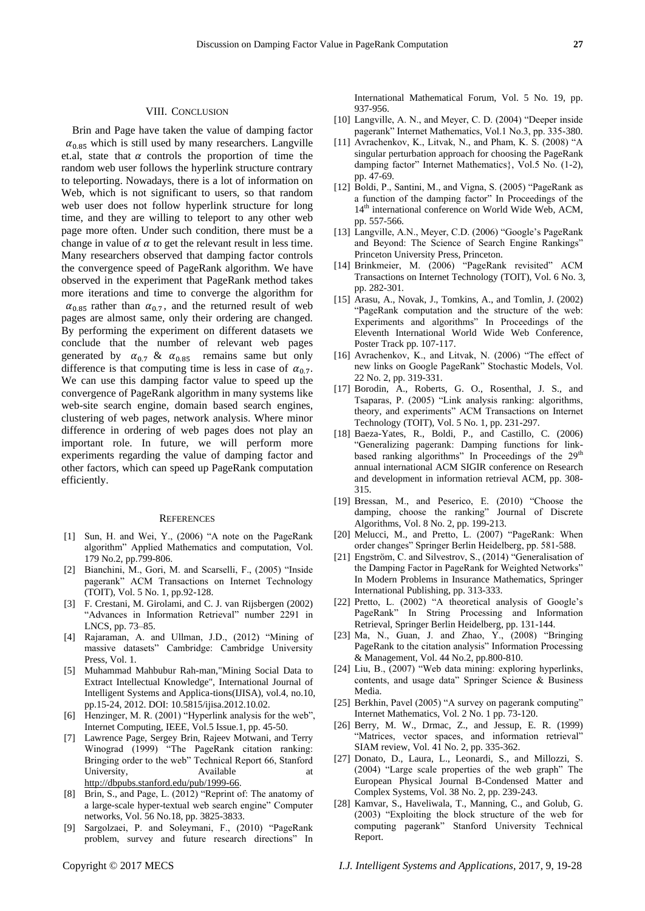Brin and Page have taken the value of damping factor  $\alpha_{0.85}$  which is still used by many researchers. Langville et.al, state that  $\alpha$  controls the proportion of time the random web user follows the hyperlink structure contrary to teleporting. Nowadays, there is a lot of information on Web, which is not significant to users, so that random web user does not follow hyperlink structure for long time, and they are willing to teleport to any other web page more often. Under such condition, there must be a change in value of  $\alpha$  to get the relevant result in less time. Many researchers observed that damping factor controls the convergence speed of PageRank algorithm. We have observed in the experiment that PageRank method takes more iterations and time to converge the algorithm for  $\alpha_{0.85}$  rather than  $\alpha_{0.7}$ , and the returned result of web pages are almost same, only their ordering are changed. By performing the experiment on different datasets we conclude that the number of relevant web pages generated by  $\alpha_{0.7}$  &  $\alpha_{0.85}$  remains same but only difference is that computing time is less in case of  $\alpha_{0.7}$ . We can use this damping factor value to speed up the convergence of PageRank algorithm in many systems like web-site search engine, domain based search engines, clustering of web pages, network analysis. Where minor difference in ordering of web pages does not play an important role. In future, we will perform more experiments regarding the value of damping factor and other factors, which can speed up PageRank computation efficiently.

#### **REFERENCES**

- [1] Sun, H. and Wei, Y.,  $(2006)$  "A note on the PageRank algorithm" Applied Mathematics and computation, Vol. 179 No.2, pp.799-806.
- [2] Bianchini, M., Gori, M. and Scarselli, F., (2005) "Inside pagerank" ACM Transactions on Internet Technology (TOIT), Vol. 5 No. 1, pp.92-128.
- [3] F. Crestani, M. Girolami, and C. J. van Rijsbergen (2002) "Advances in Information Retrieval" number 2291 in LNCS, pp. 73–85.
- [4] Rajaraman, A. and Ullman, J.D., (2012) "Mining of massive datasets" Cambridge: Cambridge University Press, Vol. 1.
- [5] Muhammad Mahbubur Rah-man,"Mining Social Data to Extract Intellectual Knowledge", International Journal of Intelligent Systems and Applica-tions(IJISA), vol.4, no.10, pp.15-24, 2012. DOI: 10.5815/ijisa.2012.10.02.
- [6] Henzinger, M. R. (2001) "Hyperlink analysis for the web", Internet Computing, IEEE, Vol.5 Issue.1, pp. 45-50.
- [7] Lawrence Page, Sergey Brin, Rajeev Motwani, and Terry Winograd (1999) "The PageRank citation ranking: Bringing order to the web" Technical Report 66, Stanford University, Available at [http://dbpubs.stanford.edu/pub/1999-66.](http://dbpubs.stanford.edu/pub/1999-66)
- [8] Brin, S., and Page, L. (2012) "Reprint of: The anatomy of a large-scale hyper-textual web search engine" Computer networks, Vol. 56 No.18, pp. 3825-3833.
- [9] Sargolzaei, P. and Soleymani, F., (2010) "PageRank problem, survey and future research directions" In

International Mathematical Forum, Vol. 5 No. 19, pp. 937-956.

- [10] Langville, A. N., and Meyer, C. D. (2004) "Deeper inside pagerank" Internet Mathematics, Vol.1 No.3, pp. 335-380.
- [11] Avrachenkov, K., Litvak, N., and Pham, K. S.  $(2008)$  "A singular perturbation approach for choosing the PageRank damping factor" Internet Mathematics}, Vol.5 No. (1-2), pp. 47-69.
- [12] Boldi, P., Santini, M., and Vigna, S. (2005) "PageRank as a function of the damping factor" In Proceedings of the 14<sup>th</sup> international conference on World Wide Web, ACM, pp. 557-566.
- [13] Langville, A.N., Meyer, C.D. (2006) "Google's PageRank and Beyond: The Science of Search Engine Rankings" Princeton University Press, Princeton.
- [14] Brinkmeier, M. (2006) "PageRank revisited" ACM Transactions on Internet Technology (TOIT), Vol. 6 No. 3, pp. 282-301.
- [15] Arasu, A., Novak, J., Tomkins, A., and Tomlin, J. (2002) ―PageRank computation and the structure of the web: Experiments and algorithms" In Proceedings of the Eleventh International World Wide Web Conference, Poster Track pp. 107-117.
- [16] Avrachenkov, K., and Litvak, N. (2006) "The effect of new links on Google PageRank" Stochastic Models, Vol. 22 No. 2, pp. 319-331.
- [17] Borodin, A., Roberts, G. O., Rosenthal, J. S., and Tsaparas, P. (2005) "Link analysis ranking: algorithms, theory, and experiments" ACM Transactions on Internet Technology (TOIT), Vol. 5 No. 1, pp. 231-297.
- [18] Baeza-Yates, R., Boldi, P., and Castillo, C. (2006) ―Generalizing pagerank: Damping functions for linkbased ranking algorithms" In Proceedings of the  $29<sup>th</sup>$ annual international ACM SIGIR conference on Research and development in information retrieval ACM, pp. 308- 315.
- [19] Bressan, M., and Peserico, E. (2010) "Choose the damping, choose the ranking" Journal of Discrete Algorithms, Vol. 8 No. 2, pp. 199-213.
- [20] Melucci, M., and Pretto, L. (2007) "PageRank: When order changes" Springer Berlin Heidelberg, pp. 581-588.
- [21] Engström, C. and Silvestrov, S., (2014) "Generalisation of the Damping Factor in PageRank for Weighted Networks" In Modern Problems in Insurance Mathematics, Springer International Publishing, pp. 313-333.
- [22] Pretto, L. (2002) "A theoretical analysis of Google's PageRank" In String Processing and Information Retrieval, Springer Berlin Heidelberg, pp. 131-144.
- $[23]$  Ma, N., Guan, J. and Zhao, Y.,  $(2008)$  "Bringing PageRank to the citation analysis" Information Processing & Management, Vol. 44 No.2, pp.800-810.
- [24] Liu, B., (2007) "Web data mining: exploring hyperlinks, contents, and usage data" Springer Science & Business Media.
- [25] Berkhin, Pavel (2005) "A survey on pagerank computing" Internet Mathematics, Vol. 2 No. 1 pp. 73-120.
- [26] Berry, M. W., Drmac, Z., and Jessup, E. R. (1999) "Matrices, vector spaces, and information retrieval" SIAM review, Vol. 41 No. 2, pp. 335-362.
- [27] Donato, D., Laura, L., Leonardi, S., and Millozzi, S. (2004) "Large scale properties of the web graph" The European Physical Journal B-Condensed Matter and Complex Systems, Vol. 38 No. 2, pp. 239-243.
- [28] Kamvar, S., Haveliwala, T., Manning, C., and Golub, G. (2003) "Exploiting the block structure of the web for computing pagerank" Stanford University Technical Report.